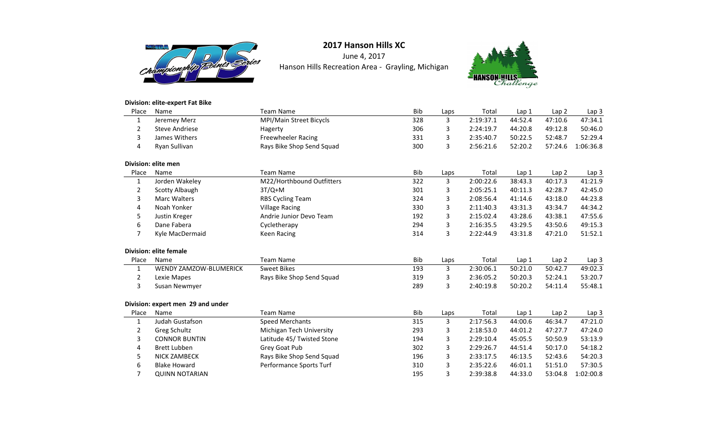

June 4, 2017Hanson Hills Recreation Area - Grayling, Michigan



### **Division: elite-expert Fat Bike**

| Place          | Name                              | <b>Team Name</b>           | <b>Bib</b> | Laps | Total     | Lap 1   | Lap <sub>2</sub> | Lap <sub>3</sub> |
|----------------|-----------------------------------|----------------------------|------------|------|-----------|---------|------------------|------------------|
| $\mathbf{1}$   | Jeremey Merz                      | MPI/Main Street Bicycls    | 328        | 3    | 2:19:37.1 | 44:52.4 | 47:10.6          | 47:34.1          |
| $\overline{2}$ | <b>Steve Andriese</b>             | Hagerty                    | 306        | 3    | 2:24:19.7 | 44:20.8 | 49:12.8          | 50:46.0          |
| 3              | James Withers                     | <b>Freewheeler Racing</b>  | 331        | 3    | 2:35:40.7 | 50:22.5 | 52:48.7          | 52:29.4          |
| 4              | Ryan Sullivan                     | Rays Bike Shop Send Squad  | 300        | 3    | 2:56:21.6 | 52:20.2 | 57:24.6          | 1:06:36.8        |
|                | Division: elite men               |                            |            |      |           |         |                  |                  |
| Place          | Name                              | <b>Team Name</b>           | Bib        | Laps | Total     | Lap 1   | Lap <sub>2</sub> | Lap 3            |
| 1              | Jorden Wakeley                    | M22/Horthbound Outfitters  | 322        | 3    | 2:00:22.6 | 38:43.3 | 40:17.3          | 41:21.9          |
| $\overline{2}$ | <b>Scotty Albaugh</b>             | $3T/Q+M$                   | 301        | 3    | 2:05:25.1 | 40:11.3 | 42:28.7          | 42:45.0          |
| 3              | <b>Marc Walters</b>               | <b>RBS Cycling Team</b>    | 324        | 3    | 2:08:56.4 | 41:14.6 | 43:18.0          | 44:23.8          |
| 4              | Noah Yonker                       | <b>Village Racing</b>      | 330        | 3    | 2:11:40.3 | 43:31.3 | 43:34.7          | 44:34.2          |
| 5              | Justin Kreger                     | Andrie Junior Devo Team    | 192        | 3    | 2:15:02.4 | 43:28.6 | 43:38.1          | 47:55.6          |
| 6              | Dane Fabera                       | Cycletherapy               | 294        | 3    | 2:16:35.5 | 43:29.5 | 43:50.6          | 49:15.3          |
| $\overline{7}$ | Kyle MacDermaid                   | Keen Racing                | 314        | 3    | 2:22:44.9 | 43:31.8 | 47:21.0          | 51:52.1          |
|                | <b>Division: elite female</b>     |                            |            |      |           |         |                  |                  |
| Place          | Name                              | <b>Team Name</b>           | Bib        | Laps | Total     | Lap 1   | Lap <sub>2</sub> | Lap 3            |
| $\mathbf{1}$   | <b>WENDY ZAMZOW-BLUMERICK</b>     | <b>Sweet Bikes</b>         | 193        | 3    | 2:30:06.1 | 50:21.0 | 50:42.7          | 49:02.3          |
| 2              | Lexie Mapes                       | Rays Bike Shop Send Squad  | 319        | 3    | 2:36:05.2 | 50:20.3 | 52:24.1          | 53:20.7          |
| 3              | Susan Newmyer                     |                            | 289        | 3    | 2:40:19.8 | 50:20.2 | 54:11.4          | 55:48.1          |
|                | Division: expert men 29 and under |                            |            |      |           |         |                  |                  |
| Place          | Name                              | <b>Team Name</b>           | Bib        | Laps | Total     | Lap 1   | Lap <sub>2</sub> | Lap 3            |
| $\mathbf{1}$   | Judah Gustafson                   | <b>Speed Merchants</b>     | 315        | 3    | 2:17:56.3 | 44:00.6 | 46:34.7          | 47:21.0          |
| $\overline{2}$ | Greg Schultz                      | Michigan Tech University   | 293        | 3    | 2:18:53.0 | 44:01.2 | 47:27.7          | 47:24.0          |
| 3              | <b>CONNOR BUNTIN</b>              | Latitude 45/ Twisted Stone | 194        | 3    | 2:29:10.4 | 45:05.5 | 50:50.9          | 53:13.9          |
| 4              | <b>Brett Lubben</b>               | Grey Goat Pub              | 302        | 3    | 2:29:26.7 | 44:51.4 | 50:17.0          | 54:18.2          |
| 5              | <b>NICK ZAMBECK</b>               | Rays Bike Shop Send Squad  | 196        | 3    | 2:33:17.5 | 46:13.5 | 52:43.6          | 54:20.3          |
| 6              | <b>Blake Howard</b>               | Performance Sports Turf    | 310        | 3    | 2:35:22.6 | 46:01.1 | 51:51.0          | 57:30.5          |
| 7              | <b>QUINN NOTARIAN</b>             |                            | 195        | 3    | 2:39:38.8 | 44:33.0 | 53:04.8          | 1:02:00.8        |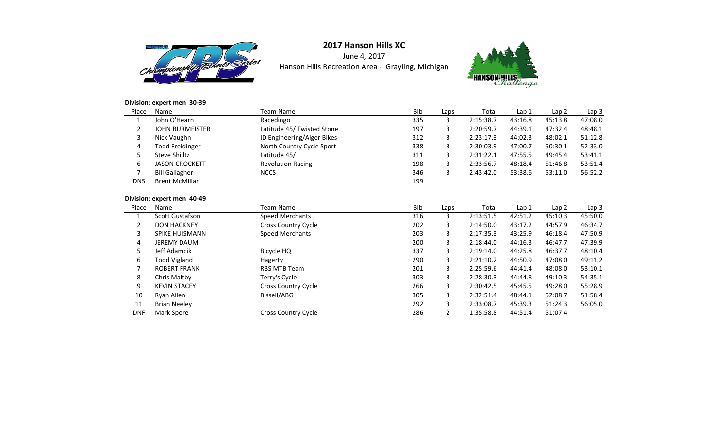

June 4, 2017Hanson Hills Recreation Area - Grayling, Michigan



### **Division: expert men 30-39**

| Place      | <b>Name</b>            | Team Name                  | <b>Bib</b> | Laps | Total     | Lap 1   | Lap 2   | Lap <sub>3</sub> |
|------------|------------------------|----------------------------|------------|------|-----------|---------|---------|------------------|
|            | John O'Hearn           | Racedingo                  | 335        |      | 2:15:38.7 | 43:16.8 | 45:13.8 | 47:08.0          |
| ∠          | <b>JOHN BURMEISTER</b> | Latitude 45/ Twisted Stone | 197        | 3    | 2:20:59.7 | 44:39.1 | 47:32.4 | 48:48.1          |
| 3          | Nick Vaughn            | ID Engineering/Alger Bikes | 312        | 3    | 2:23:17.3 | 44:02.3 | 48:02.1 | 51:12.8          |
| 4          | <b>Todd Freidinger</b> | North Country Cycle Sport  | 338        | 3    | 2:30:03.9 | 47:00.7 | 50:30.1 | 52:33.0          |
| 5          | Steve Shilltz          | Latitude 45/               | 311        | 3    | 2:31:22.1 | 47:55.5 | 49:45.4 | 53:41.1          |
| 6          | <b>JASON CROCKETT</b>  | <b>Revolution Racing</b>   | 198        | 3    | 2:33:56.7 | 48:18.4 | 51:46.8 | 53:51.4          |
|            | <b>Bill Gallagher</b>  | <b>NCCS</b>                | 346        |      | 2:43:42.0 | 53:38.6 | 53:11.0 | 56:52.2          |
| <b>DNS</b> | <b>Brent McMillan</b>  |                            | 199        |      |           |         |         |                  |

### **Division: expert men 40-49**

| Place      | Name                   | Team Name                  | <b>Bib</b> | Laps | Total     | Lap 1   | Lap <sub>2</sub> | Lap <sub>3</sub> |
|------------|------------------------|----------------------------|------------|------|-----------|---------|------------------|------------------|
|            | <b>Scott Gustafson</b> | Speed Merchants            | 316        | 3    | 2:13:51.5 | 42:51.2 | 45:10.3          | 45:50.0          |
| 2          | <b>DON HACKNEY</b>     | <b>Cross Country Cycle</b> | 202        | 3    | 2:14:50.0 | 43:17.2 | 44:57.9          | 46:34.7          |
| 3          | <b>SPIKE HUISMANN</b>  | <b>Speed Merchants</b>     | 203        | 3    | 2:17:35.3 | 43:25.9 | 46:18.4          | 47:50.9          |
| 4          | <b>JEREMY DAUM</b>     |                            | 200        | 3    | 2:18:44.0 | 44:16.3 | 46:47.7          | 47:39.9          |
| 5          | Jeff Adamcik           | Bicycle HQ                 | 337        | 3    | 2:19:14.0 | 44:25.8 | 46:37.7          | 48:10.4          |
| 6          | Todd Vigland           | Hagerty                    | 290        | 3    | 2:21:10.2 | 44:50.9 | 47:08.0          | 49:11.2          |
| ⇁          | <b>ROBERT FRANK</b>    | <b>RBS MTB Team</b>        | 201        | 3    | 2:25:59.6 | 44:41.4 | 48:08.0          | 53:10.1          |
| 8          | Chris Maltby           | Terry's Cycle              | 303        | 3    | 2:28:30.3 | 44:44.8 | 49:10.3          | 54:35.1          |
| 9          | <b>KEVIN STACEY</b>    | <b>Cross Country Cycle</b> | 266        | 3    | 2:30:42.5 | 45:45.5 | 49:28.0          | 55:28.9          |
| 10         | Ryan Allen             | Bissell/ABG                | 305        | 3    | 2:32:51.4 | 48:44.1 | 52:08.7          | 51:58.4          |
| 11         | <b>Brian Neeley</b>    |                            | 292        | 3    | 2:33:08.7 | 45:39.3 | 51:24.3          | 56:05.0          |
| <b>DNF</b> | Mark Spore             | Cross Country Cycle        | 286        | 2    | 1:35:58.8 | 44:51.4 | 51:07.4          |                  |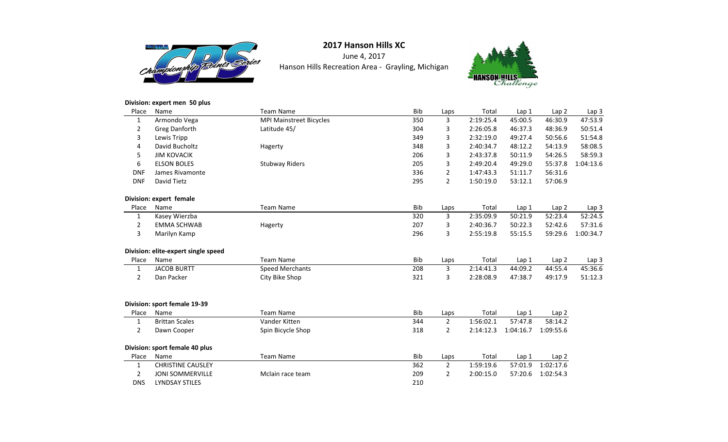

June 4, 2017Hanson Hills Recreation Area - Grayling, Michigan



#### **Division: expert men 50 plus**

| Place          | Name                                | <b>Team Name</b>               | <b>Bib</b> | Laps           | Total     | Lap 1            | Lap <sub>2</sub> | Lap <sub>3</sub> |
|----------------|-------------------------------------|--------------------------------|------------|----------------|-----------|------------------|------------------|------------------|
| $\mathbf{1}$   | Armondo Vega                        | <b>MPI Mainstreet Bicycles</b> | 350        | 3              | 2:19:25.4 | 45:00.5          | 46:30.9          | 47:53.9          |
| $\overline{2}$ | Greg Danforth                       | Latitude 45/                   | 304        | 3              | 2:26:05.8 | 46:37.3          | 48:36.9          | 50:51.4          |
| 3              | Lewis Tripp                         |                                | 349        | 3              | 2:32:19.0 | 49:27.4          | 50:56.6          | 51:54.8          |
| $\overline{4}$ | David Bucholtz                      | Hagerty                        | 348        | 3              | 2:40:34.7 | 48:12.2          | 54:13.9          | 58:08.5          |
| 5              | <b>JIM KOVACIK</b>                  |                                | 206        | 3              | 2:43:37.8 | 50:11.9          | 54:26.5          | 58:59.3          |
| 6              | <b>ELSON BOLES</b>                  | <b>Stubway Riders</b>          | 205        | 3              | 2:49:20.4 | 49:29.0          | 55:37.8          | 1:04:13.6        |
| <b>DNF</b>     | James Rivamonte                     |                                | 336        | $\overline{2}$ | 1:47:43.3 | 51:11.7          | 56:31.6          |                  |
| <b>DNF</b>     | David Tietz                         |                                | 295        | $\overline{2}$ | 1:50:19.0 | 53:12.1          | 57:06.9          |                  |
|                | Division: expert female             |                                |            |                |           |                  |                  |                  |
| Place          | Name                                | <b>Team Name</b>               | <b>Bib</b> | Laps           | Total     | Lap <sub>1</sub> | Lap2             | Lap 3            |
| 1              | Kasey Wierzba                       |                                | 320        | 3              | 2:35:09.9 | 50:21.9          | 52:23.4          | 52:24.5          |
| $\overline{2}$ | <b>EMMA SCHWAB</b>                  | Hagerty                        | 207        | 3              | 2:40:36.7 | 50:22.3          | 52:42.6          | 57:31.6          |
| 3              | Marilyn Kamp                        |                                | 296        | 3              | 2:55:19.8 | 55:15.5          | 59:29.6          | 1:00:34.7        |
|                | Division: elite-expert single speed |                                |            |                |           |                  |                  |                  |
| Place          | Name                                | <b>Team Name</b>               | <b>Bib</b> | Laps           | Total     | Lap 1            | Lap2             | Lap 3            |
| $\mathbf{1}$   | <b>JACOB BURTT</b>                  | <b>Speed Merchants</b>         | 208        | 3              | 2:14:41.3 | 44:09.2          | 44:55.4          | 45:36.6          |
| $\overline{2}$ | Dan Packer                          | City Bike Shop                 | 321        | 3              | 2:28:08.9 | 47:38.7          | 49:17.9          | 51:12.3          |
|                | Division: sport female 19-39        |                                |            |                |           |                  |                  |                  |
| Place          | Name                                | <b>Team Name</b>               | Bib        | Laps           | Total     | Lap 1            | Lap 2            |                  |
| $\mathbf{1}$   | <b>Brittan Scales</b>               | Vander Kitten                  | 344        | $\overline{2}$ | 1:56:02.1 | 57:47.8          | 58:14.2          |                  |
| $\overline{2}$ | Dawn Cooper                         | Spin Bicycle Shop              | 318        | $\overline{2}$ | 2:14:12.3 | 1:04:16.7        | 1:09:55.6        |                  |
|                | Division: sport female 40 plus      |                                |            |                |           |                  |                  |                  |
| Place          | Name                                | <b>Team Name</b>               | Bib        | Laps           | Total     | Lap 1            | Lap <sub>2</sub> |                  |
| $\mathbf{1}$   | <b>CHRISTINE CAUSLEY</b>            |                                | 362        | $\overline{2}$ | 1:59:19.6 | 57:01.9          | 1:02:17.6        |                  |
| $\overline{2}$ | <b>JONI SOMMERVILLE</b>             | Mclain race team               | 209        | 2              | 2:00:15.0 | 57:20.6          | 1:02:54.3        |                  |
| <b>DNS</b>     | <b>LYNDSAY STILES</b>               |                                | 210        |                |           |                  |                  |                  |
|                |                                     |                                |            |                |           |                  |                  |                  |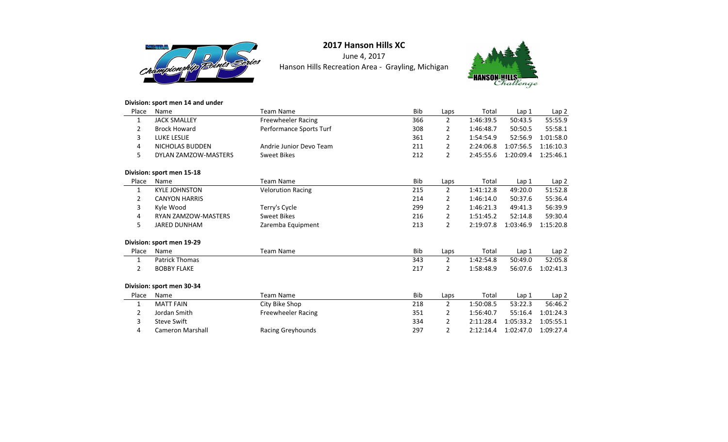

June 4, 2017Hanson Hills Recreation Area - Grayling, Michigan



### **Division: sport men 14 and under**

| Place | Name                       | <b>Team Name</b>          | <b>Bib</b> | Laps           | Total     | Lap 1            | Lap <sub>2</sub> |
|-------|----------------------------|---------------------------|------------|----------------|-----------|------------------|------------------|
| 1     | <b>JACK SMALLEY</b>        | <b>Freewheeler Racing</b> | 366        | $\overline{2}$ | 1:46:39.5 | 50:43.5          | 55:55.9          |
| 2     | <b>Brock Howard</b>        | Performance Sports Turf   | 308        | 2              | 1:46:48.7 | 50:50.5          | 55:58.1          |
| 3     | LUKE LESLIE                |                           | 361        | $\overline{2}$ | 1:54:54.9 | 52:56.9          | 1:01:58.0        |
| 4     | <b>NICHOLAS BUDDEN</b>     | Andrie Junior Devo Team   | 211        | 2              | 2:24:06.8 | 1:07:56.5        | 1:16:10.3        |
| 5     | DYLAN ZAMZOW-MASTERS       | <b>Sweet Bikes</b>        | 212        | $\overline{2}$ | 2:45:55.6 | 1:20:09.4        | 1:25:46.1        |
|       | Division: sport men 15-18  |                           |            |                |           |                  |                  |
| Place | Name                       | <b>Team Name</b>          | <b>Bib</b> | Laps           | Total     | Lap 1            | Lap 2            |
| 1     | <b>KYLE JOHNSTON</b>       | <b>Velorution Racing</b>  | 215        | $\overline{2}$ | 1:41:12.8 | 49:20.0          | 51:52.8          |
| 2     | <b>CANYON HARRIS</b>       |                           | 214        | 2              | 1:46:14.0 | 50:37.6          | 55:36.4          |
| 3     | Kyle Wood                  | Terry's Cycle             | 299        | $\overline{2}$ | 1:46:21.3 | 49:41.3          | 56:39.9          |
| 4     | <b>RYAN ZAMZOW-MASTERS</b> | <b>Sweet Bikes</b>        | 216        | 2              | 1:51:45.2 | 52:14.8          | 59:30.4          |
| 5     | <b>JARED DUNHAM</b>        | Zaremba Equipment         | 213        | $\overline{2}$ | 2:19:07.8 | 1:03:46.9        | 1:15:20.8        |
|       | Division: sport men 19-29  |                           |            |                |           |                  |                  |
| Place | Name                       | <b>Team Name</b>          | <b>Bib</b> | Laps           | Total     | Lap 1            | Lap <sub>2</sub> |
| 1     | <b>Patrick Thomas</b>      |                           | 343        | $\overline{2}$ | 1:42:54.8 | 50:49.0          | 52:05.8          |
| 2     | <b>BOBBY FLAKE</b>         |                           | 217        | $\overline{2}$ | 1:58:48.9 | 56:07.6          | 1:02:41.3        |
|       | Division: sport men 30-34  |                           |            |                |           |                  |                  |
| Place | Name                       | <b>Team Name</b>          | <b>Bib</b> | Laps           | Total     | Lap <sub>1</sub> | Lap <sub>2</sub> |
| 1     | <b>MATT FAIN</b>           | City Bike Shop            | 218        | $\overline{2}$ | 1:50:08.5 | 53:22.3          | 56:46.2          |
| 2     | Jordan Smith               | Freewheeler Racing        | 351        | 2              | 1:56:40.7 | 55:16.4          | 1:01:24.3        |
| 3     | <b>Steve Swift</b>         |                           | 334        | 2              | 2:11:28.4 | 1:05:33.2        | 1:05:55.1        |
| 4     | <b>Cameron Marshall</b>    | Racing Greyhounds         | 297        | $\overline{2}$ | 2:12:14.4 | 1:02:47.0        | 1:09:27.4        |
|       |                            |                           |            |                |           |                  |                  |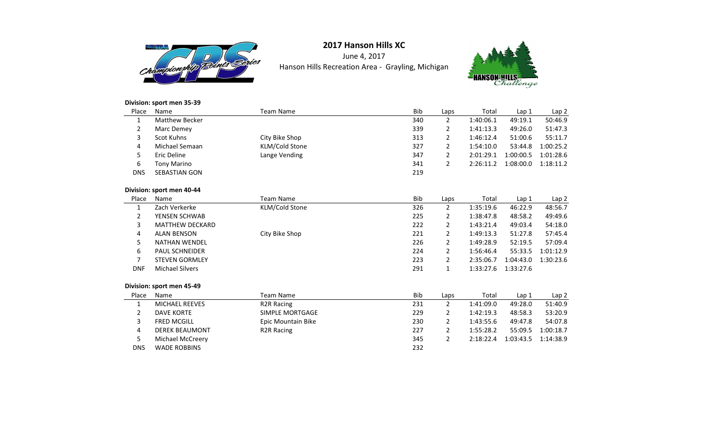

June 4, 2017Hanson Hills Recreation Area - Grayling, Michigan



### **Division: sport men 35-39**

| Place      | Name                      | Team Name      | Bib | Laps | Total     | Lap 1     | Lap <sub>2</sub> |
|------------|---------------------------|----------------|-----|------|-----------|-----------|------------------|
|            | <b>Matthew Becker</b>     |                | 340 | 2    | 1:40:06.1 | 49:19.1   | 50:46.9          |
| 2          | Marc Demey                |                | 339 | 2    | 1:41:13.3 | 49:26.0   | 51:47.3          |
| 3          | Scot Kuhns                | City Bike Shop | 313 | 2    | 1:46:12.4 | 51:00.6   | 55:11.7          |
| 4          | Michael Semaan            | KLM/Cold Stone | 327 | 2    | 1:54:10.0 | 53:44.8   | 1:00:25.2        |
| 5.         | Eric Deline               | Lange Vending  | 347 | 2    | 2:01:29.1 | 1:00:00.5 | 1:01:28.6        |
| 6          | <b>Tony Marino</b>        |                | 341 | 2    | 2:26:11.2 | 1:08:00.0 | 1:18:11.2        |
| <b>DNS</b> | <b>SEBASTIAN GON</b>      |                | 219 |      |           |           |                  |
|            | Division: sport men 40-44 |                |     |      |           |           |                  |

#### **Division: sport men 40-44**

| Place      | Name                      | Team Name               | Bib | Laps         | Total     | Lap <sub>1</sub> | Lap <sub>2</sub> |
|------------|---------------------------|-------------------------|-----|--------------|-----------|------------------|------------------|
| 1          | Zach Verkerke             | KLM/Cold Stone          | 326 | 2            | 1:35:19.6 | 46:22.9          | 48:56.7          |
| 2          | YENSEN SCHWAB             |                         | 225 | 2            | 1:38:47.8 | 48:58.2          | 49:49.6          |
| 3          | <b>MATTHEW DECKARD</b>    |                         | 222 | 2            | 1:43:21.4 | 49:03.4          | 54:18.0          |
| 4          | <b>ALAN BENSON</b>        | City Bike Shop          | 221 | 2            | 1:49:13.3 | 51:27.8          | 57:45.4          |
| 5          | <b>NATHAN WENDEL</b>      |                         | 226 | 2            | 1:49:28.9 | 52:19.5          | 57:09.4          |
| 6          | <b>PAUL SCHNEIDER</b>     |                         | 224 | 2            | 1:56:46.4 | 55:33.5          | 1:01:12.9        |
| 7          | <b>STEVEN GORMLEY</b>     |                         | 223 | 2            | 2:35:06.7 | 1:04:43.0        | 1:30:23.6        |
| <b>DNF</b> | <b>Michael Silvers</b>    |                         | 291 | $\mathbf{1}$ | 1:33:27.6 | 1:33:27.6        |                  |
|            |                           |                         |     |              |           |                  |                  |
|            | Division: sport men 45-49 |                         |     |              |           |                  |                  |
| Place      | Name                      | Team Name               | Bib | Laps         | Total     | Lap 1            | Lap <sub>2</sub> |
| 1          | <b>MICHAEL REEVES</b>     | <b>R2R Racing</b>       | 231 | 2            | 1:41:09.0 | 49:28.0          | 51:40.9          |
| 2          | <b>DAVE KORTE</b>         | SIMPLE MORTGAGE         | 229 | 2            | 1:42:19.3 | 48:58.3          | 53:20.9          |
| 3          | <b>FRED MCGILL</b>        | Epic Mountain Bike      | 230 | 2            | 1:43:55.6 | 49:47.8          | 54:07.8          |
| 4          | <b>DEREK BEAUMONT</b>     | R <sub>2</sub> R Racing | 227 | 2            | 1:55:28.2 | 55:09.5          | 1:00:18.7        |
| 5          | Michael McCreery          |                         | 345 | 2            | 2:18:22.4 | 1:03:43.5        | 1:14:38.9        |
| <b>DNS</b> | <b>WADE ROBBINS</b>       |                         | 232 |              |           |                  |                  |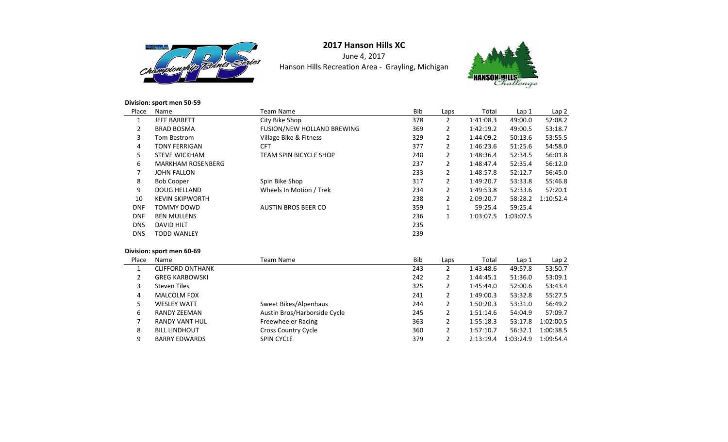

June 4, 2017Hanson Hills Recreation Area - Grayling, Michigan



### **Division: sport men 50-59**

| Place          | Name                     | <b>Team Name</b>                  | Bib | Laps | Total     | Lap <sub>1</sub> | Lap 2     |
|----------------|--------------------------|-----------------------------------|-----|------|-----------|------------------|-----------|
| 1              | <b>JEFF BARRETT</b>      | City Bike Shop                    | 378 | 2    | 1:41:08.3 | 49:00.0          | 52:08.2   |
| $\overline{2}$ | <b>BRAD BOSMA</b>        | <b>FUSION/NEW HOLLAND BREWING</b> | 369 | 2    | 1:42:19.2 | 49:00.5          | 53:18.7   |
| 3              | Tom Bestrom              | Village Bike & Fitness            | 329 | 2    | 1:44:09.2 | 50:13.6          | 53:55.5   |
| 4              | <b>TONY FERRIGAN</b>     | <b>CFT</b>                        | 377 | 2    | 1:46:23.6 | 51:25.6          | 54:58.0   |
| 5              | <b>STEVE WICKHAM</b>     | <b>TEAM SPIN BICYCLE SHOP</b>     | 240 | 2    | 1:48:36.4 | 52:34.5          | 56:01.8   |
| 6              | <b>MARKHAM ROSENBERG</b> |                                   | 237 | 2    | 1:48:47.4 | 52:35.4          | 56:12.0   |
| 7              | <b>JOHN FALLON</b>       |                                   | 233 | 2    | 1:48:57.8 | 52:12.7          | 56:45.0   |
| 8              | <b>Bob Cooper</b>        | Spin Bike Shop                    | 317 | 2    | 1:49:20.7 | 53:33.8          | 55:46.8   |
| 9              | <b>DOUG HELLAND</b>      | Wheels In Motion / Trek           | 234 | 2    | 1:49:53.8 | 52:33.6          | 57:20.1   |
| 10             | <b>KEVIN SKIPWORTH</b>   |                                   | 238 | 2    | 2:09:20.7 | 58:28.2          | 1:10:52.4 |
| <b>DNF</b>     | TOMMY DOWD               | <b>AUSTIN BROS BEER CO</b>        | 359 | 1    | 59:25.4   | 59:25.4          |           |
| <b>DNF</b>     | <b>BEN MULLENS</b>       |                                   | 236 | 1    | 1:03:07.5 | 1:03:07.5        |           |
| <b>DNS</b>     | <b>DAVID HILT</b>        |                                   | 235 |      |           |                  |           |
| <b>DNS</b>     | <b>TODD WANLEY</b>       |                                   | 239 |      |           |                  |           |
|                |                          |                                   |     |      |           |                  |           |

### **Division: sport men 60-69**

| Place | Name                    | Team Name                    | <b>Bib</b> | Laps | Total     | Lap 1     | Lap <sub>2</sub> |
|-------|-------------------------|------------------------------|------------|------|-----------|-----------|------------------|
|       | <b>CLIFFORD ONTHANK</b> |                              | 243        |      | 1:43:48.6 | 49:57.8   | 53:50.7          |
|       | <b>GREG KARBOWSKI</b>   |                              | 242        | 2    | 1:44:45.1 | 51:36.0   | 53:09.1          |
| 3     | <b>Steven Tiles</b>     |                              | 325        |      | 1:45:44.0 | 52:00.6   | 53:43.4          |
| 4     | <b>MALCOLM FOX</b>      |                              | 241        | 2    | 1:49:00.3 | 53:32.8   | 55:27.5          |
| 5.    | <b>WESLEY WATT</b>      | Sweet Bikes/Alpenhaus        | 244        | 2    | 1:50:20.3 | 53:31.0   | 56:49.2          |
| 6     | RANDY ZEEMAN            | Austin Bros/Harborside Cycle | 245        | 2    | 1:51:14.6 | 54:04.9   | 57:09.7          |
|       | RANDY VANT HUL          | Freewheeler Racing           | 363        | 2    | 1:55:18.3 | 53:17.8   | 1:02:00.5        |
| 8     | <b>BILL LINDHOUT</b>    | <b>Cross Country Cycle</b>   | 360        | 2    | 1:57:10.7 | 56:32.1   | 1:00:38.5        |
| 9     | <b>BARRY EDWARDS</b>    | <b>SPIN CYCLE</b>            | 379        |      | 2:13:19.4 | 1:03:24.9 | 1:09:54.4        |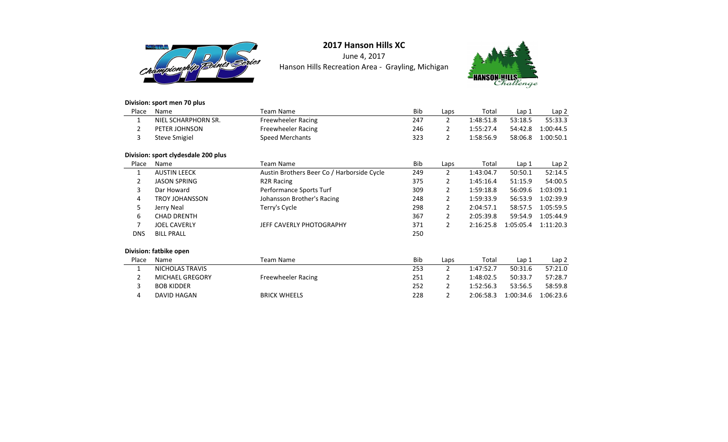

June 4, 2017Hanson Hills Recreation Area - Grayling, Michigan



### **Division: sport men 70 plus**

4

DAVID HAGAN

| Place      | Name                                | <b>Team Name</b>                           | <b>Bib</b> | Laps           | Total     | Lap <sub>1</sub> | Lap 2     |
|------------|-------------------------------------|--------------------------------------------|------------|----------------|-----------|------------------|-----------|
|            | NIEL SCHARPHORN SR.                 | Freewheeler Racing                         | 247        | $\overline{2}$ | 1:48:51.8 | 53:18.5          | 55:33.3   |
| 2          | PETER JOHNSON                       | Freewheeler Racing                         | 246        | $\overline{2}$ | 1:55:27.4 | 54:42.8          | 1:00:44.5 |
| 3          | <b>Steve Smigiel</b>                | <b>Speed Merchants</b>                     | 323        | $\overline{2}$ | 1:58:56.9 | 58:06.8          | 1:00:50.1 |
|            | Division: sport clydesdale 200 plus |                                            |            |                |           |                  |           |
| Place      | Name                                | <b>Team Name</b>                           | <b>Bib</b> | Laps           | Total     | Lap 1            | Lap 2     |
| 1          | <b>AUSTIN LEECK</b>                 | Austin Brothers Beer Co / Harborside Cycle | 249        | $\overline{2}$ | 1:43:04.7 | 50:50.1          | 52:14.5   |
| 2          | <b>JASON SPRING</b>                 | R <sub>2</sub> R Racing                    | 375        | 2              | 1:45:16.4 | 51:15.9          | 54:00.5   |
| 3          | Dar Howard                          | Performance Sports Turf                    | 309        | 2              | 1:59:18.8 | 56:09.6          | 1:03:09.1 |
| 4          | <b>TROY JOHANSSON</b>               | Johansson Brother's Racing                 | 248        | $\overline{2}$ | 1:59:33.9 | 56:53.9          | 1:02:39.9 |
| 5          | Jerry Neal                          | Terry's Cycle                              | 298        | $\overline{2}$ | 2:04:57.1 | 58:57.5          | 1:05:59.5 |
| 6          | <b>CHAD DRENTH</b>                  |                                            | 367        | $\overline{2}$ | 2:05:39.8 | 59:54.9          | 1:05:44.9 |
| 7          | <b>JOEL CAVERLY</b>                 | JEFF CAVERLY PHOTOGRAPHY                   | 371        | $\overline{2}$ | 2:16:25.8 | 1:05:05.4        | 1:11:20.3 |
| <b>DNS</b> | <b>BILL PRALL</b>                   |                                            | 250        |                |           |                  |           |
|            | Division: fatbike open              |                                            |            |                |           |                  |           |
| Place      | Name                                | <b>Team Name</b>                           | <b>Bib</b> | Laps           | Total     | Lap 1            | Lap 2     |
|            | NICHOLAS TRAVIS                     |                                            | 253        | $\overline{2}$ | 1:47:52.7 | 50:31.6          | 57:21.0   |
| 2          | <b>MICHAEL GREGORY</b>              | Freewheeler Racing                         | 251        | 2              | 1:48:02.5 | 50:33.7          | 57:28.7   |
| 3          | <b>BOB KIDDER</b>                   |                                            | 252        | 2              | 1:52:56.3 | 53:56.5          | 58:59.8   |

BRICK WHEELS <sup>228</sup> 2 2:06:58.3 1:00:34.6 1:06:23.6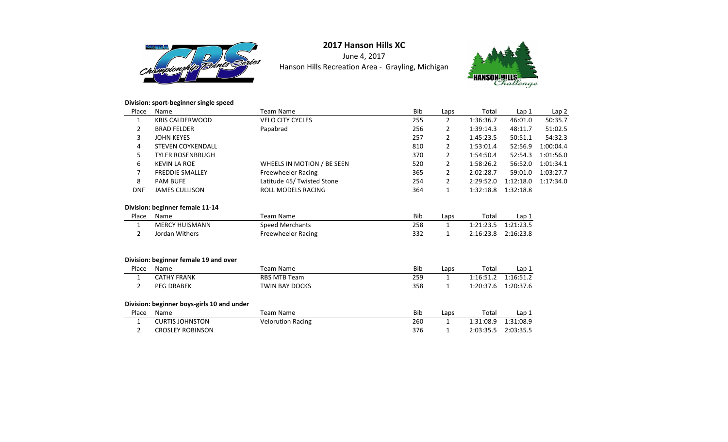

June 4, 2017Hanson Hills Recreation Area - Grayling, Michigan



### **Division: sport-beginner single speed**

| Place          | Name                                       | <b>Team Name</b>           | Bib        | Laps           | Total     | Lap <sub>1</sub> | Lap <sub>2</sub> |
|----------------|--------------------------------------------|----------------------------|------------|----------------|-----------|------------------|------------------|
| 1              | <b>KRIS CALDERWOOD</b>                     | <b>VELO CITY CYCLES</b>    | 255        | $\overline{2}$ | 1:36:36.7 | 46:01.0          | 50:35.7          |
| 2              | <b>BRAD FELDER</b>                         | Papabrad                   | 256        | 2              | 1:39:14.3 | 48:11.7          | 51:02.5          |
| 3              | <b>JOHN KEYES</b>                          |                            | 257        | $\overline{2}$ | 1:45:23.5 | 50:51.1          | 54:32.3          |
| 4              | <b>STEVEN COYKENDALL</b>                   |                            | 810        | $\overline{2}$ | 1:53:01.4 | 52:56.9          | 1:00:04.4        |
| 5              | <b>TYLER ROSENBRUGH</b>                    |                            | 370        | 2              | 1:54:50.4 | 52:54.3          | 1:01:56.0        |
| 6              | <b>KEVIN LA ROE</b>                        | WHEELS IN MOTION / BE SEEN | 520        | 2              | 1:58:26.2 | 56:52.0          | 1:01:34.1        |
| 7              | <b>FREDDIE SMALLEY</b>                     | Freewheeler Racing         | 365        | $\overline{2}$ | 2:02:28.7 | 59:01.0          | 1:03:27.7        |
| 8              | <b>PAM BUFE</b>                            | Latitude 45/ Twisted Stone | 254        | $\overline{2}$ | 2:29:52.0 | 1:12:18.0        | 1:17:34.0        |
| <b>DNF</b>     | <b>JAMES CULLISON</b>                      | <b>ROLL MODELS RACING</b>  | 364        | $\mathbf{1}$   | 1:32:18.8 | 1:32:18.8        |                  |
|                | Division: beginner female 11-14            |                            |            |                |           |                  |                  |
| Place          | Name                                       | <b>Team Name</b>           | <b>Bib</b> | Laps           | Total     | Lap 1            |                  |
| 1              | <b>MERCY HUISMANN</b>                      | <b>Speed Merchants</b>     | 258        | $\mathbf{1}$   | 1:21:23.5 | 1:21:23.5        |                  |
| $\overline{2}$ | Jordan Withers                             | <b>Freewheeler Racing</b>  | 332        | $\mathbf{1}$   | 2:16:23.8 | 2:16:23.8        |                  |
|                | Division: beginner female 19 and over      |                            |            |                |           |                  |                  |
| Place          | Name                                       | <b>Team Name</b>           | Bib        | Laps           | Total     | Lap 1            |                  |
| 1              | <b>CATHY FRANK</b>                         | <b>RBS MTB Team</b>        | 259        | $\mathbf{1}$   | 1:16:51.2 | 1:16:51.2        |                  |
| $\overline{2}$ | <b>PEG DRABEK</b>                          | <b>TWIN BAY DOCKS</b>      | 358        | 1              | 1:20:37.6 | 1:20:37.6        |                  |
|                | Division: beginner boys-girls 10 and under |                            |            |                |           |                  |                  |
| Place          | Name                                       | <b>Team Name</b>           | Bib        | Laps           | Total     | Lap 1            |                  |
| 1              | <b>CURTIS JOHNSTON</b>                     | <b>Velorution Racing</b>   | 260        | $\mathbf{1}$   | 1:31:08.9 | 1:31:08.9        |                  |
| 2              | <b>CROSLEY ROBINSON</b>                    |                            | 376        | 1              | 2:03:35.5 | 2:03:35.5        |                  |
|                |                                            |                            |            |                |           |                  |                  |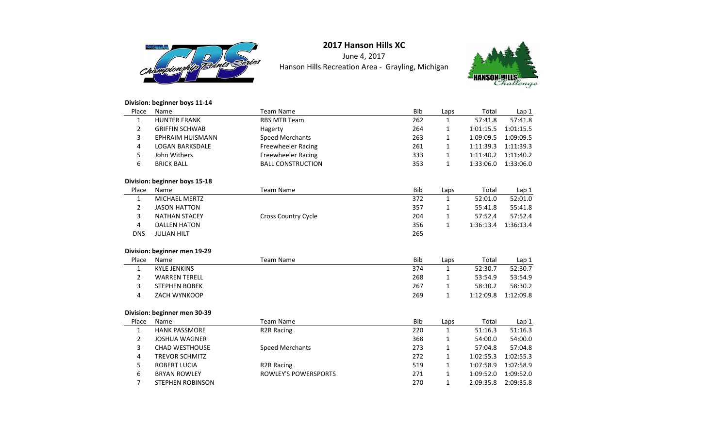

June 4, 2017Hanson Hills Recreation Area - Grayling, Michigan



### **Division: beginner boys 11-14**

| Place        | Name                          | <b>Team Name</b>            | Bib | Laps         | Total     | Lap 1     |
|--------------|-------------------------------|-----------------------------|-----|--------------|-----------|-----------|
| 1            | <b>HUNTER FRANK</b>           | <b>RBS MTB Team</b>         | 262 | 1            | 57:41.8   | 57:41.8   |
| 2            | <b>GRIFFIN SCHWAB</b>         | Hagerty                     | 264 | 1            | 1:01:15.5 | 1:01:15.5 |
| 3            | EPHRAIM HUISMANN              | <b>Speed Merchants</b>      | 263 | 1            | 1:09:09.5 | 1:09:09.5 |
| 4            | <b>LOGAN BARKSDALE</b>        | <b>Freewheeler Racing</b>   | 261 | $\mathbf{1}$ | 1:11:39.3 | 1:11:39.3 |
| 5            | John Withers                  | <b>Freewheeler Racing</b>   | 333 | 1            | 1:11:40.2 | 1:11:40.2 |
| 6            | <b>BRICK BALL</b>             | <b>BALL CONSTRUCTION</b>    | 353 | $\mathbf{1}$ | 1:33:06.0 | 1:33:06.0 |
|              | Division: beginner boys 15-18 |                             |     |              |           |           |
| Place        | Name                          | <b>Team Name</b>            | Bib | Laps         | Total     | Lap 1     |
| 1            | <b>MICHAEL MERTZ</b>          |                             | 372 | $\mathbf{1}$ | 52:01.0   | 52:01.0   |
| 2            | <b>JASON HATTON</b>           |                             | 357 | 1            | 55:41.8   | 55:41.8   |
| 3            | <b>NATHAN STACEY</b>          | Cross Country Cycle         | 204 | $\mathbf{1}$ | 57:52.4   | 57:52.4   |
| 4            | <b>DALLEN HATON</b>           |                             | 356 | $\mathbf{1}$ | 1:36:13.4 | 1:36:13.4 |
| <b>DNS</b>   | <b>JULIAN HILT</b>            |                             | 265 |              |           |           |
|              | Division: beginner men 19-29  |                             |     |              |           |           |
| Place        | Name                          | <b>Team Name</b>            | Bib | Laps         | Total     | Lap 1     |
| 1            | <b>KYLE JENKINS</b>           |                             | 374 | $\mathbf{1}$ | 52:30.7   | 52:30.7   |
| 2            | <b>WARREN TERELL</b>          |                             | 268 | 1            | 53:54.9   | 53:54.9   |
| 3            | <b>STEPHEN BOBEK</b>          |                             | 267 | 1            | 58:30.2   | 58:30.2   |
| 4            | ZACH WYNKOOP                  |                             | 269 | $\mathbf{1}$ | 1:12:09.8 | 1:12:09.8 |
|              | Division: beginner men 30-39  |                             |     |              |           |           |
| Place        | Name                          | <b>Team Name</b>            | Bib | Laps         | Total     | Lap 1     |
| $\mathbf{1}$ | <b>HANK PASSMORE</b>          | <b>R2R Racing</b>           | 220 | $\mathbf{1}$ | 51:16.3   | 51:16.3   |
| 2            | <b>JOSHUA WAGNER</b>          |                             | 368 | $\mathbf{1}$ | 54:00.0   | 54:00.0   |
| 3            | <b>CHAD WESTHOUSE</b>         | <b>Speed Merchants</b>      | 273 | 1            | 57:04.8   | 57:04.8   |
| 4            | <b>TREVOR SCHMITZ</b>         |                             | 272 | $\mathbf{1}$ | 1:02:55.3 | 1:02:55.3 |
| 5            | <b>ROBERT LUCIA</b>           | <b>R2R Racing</b>           | 519 | $\mathbf{1}$ | 1:07:58.9 | 1:07:58.9 |
| 6            | <b>BRYAN ROWLEY</b>           | <b>ROWLEY'S POWERSPORTS</b> | 271 | 1            | 1:09:52.0 | 1:09:52.0 |
| 7            | <b>STEPHEN ROBINSON</b>       |                             | 270 | 1            | 2:09:35.8 | 2:09:35.8 |